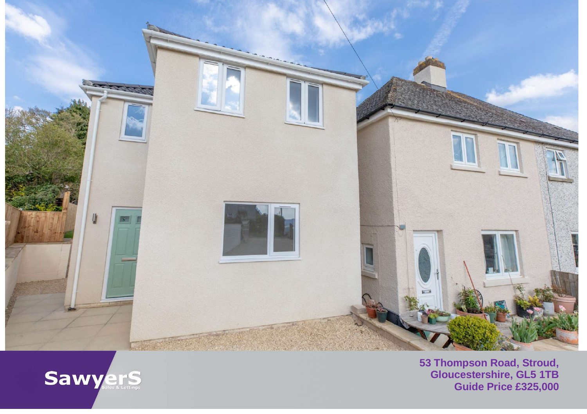



**53 Thompson Road, Stroud, Gloucestershire, GL5 1TB Guide Price £325,000**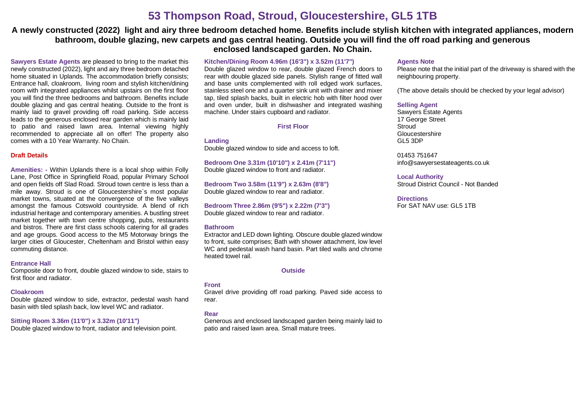# **53 Thompson Road, Stroud, Gloucestershire, GL5 1TB**

# **A newly constructed (2022) light and airy three bedroom detached home. Benefits include stylish kitchen with integrated appliances, modern bathroom, double glazing, new carpets and gas central heating. Outside you will find the off road parking and generous enclosed landscaped garden. No Chain.**

**Sawyers Estate Agents** are pleased to bring to the market this newly constructed (2022), light and airy three bedroom detached home situated in Uplands. The accommodation briefly consists; Entrance hall, cloakroom, living room and stylish kitchen/dining room with integrated appliances whilst upstairs on the first floor you will find the three bedrooms and bathroom. Benefits include double glazing and gas central heating. Outside to the front is mainly laid to gravel providing off road parking. Side access leads to the generous enclosed rear garden which is mainly laid to patio and raised lawn area. Internal viewing highly recommended to appreciate all on offer! The property also comes with a 10 Year Warranty. No Chain.

#### **Draft Details**

**Amenities: -** Within Uplands there is a local shop within Folly Lane, Post Office in Springfield Road, popular Primary School and open fields off Slad Road. Stroud town centre is less than a mile away. Stroud is one of Gloucestershire`s most popular market towns, situated at the convergence of the five valleys amongst the famous Cotswold countryside. A blend of rich industrial heritage and contemporary amenities. A bustling street market together with town centre shopping, pubs, restaurants and bistros. There are first class schools catering for all grades and age groups. Good access to the M5 Motorway brings the larger cities of Gloucester, Cheltenham and Bristol within easy commuting distance.

#### **Entrance Hall**

Composite door to front, double glazed window to side, stairs to first floor and radiator.

#### **Cloakroom**

Double glazed window to side, extractor, pedestal wash hand basin with tiled splash back, low level WC and radiator.

## **Sitting Room 3.36m (11'0") x 3.32m (10'11")**

Double glazed window to front, radiator and television point.

#### **Kitchen/Dining Room 4.96m (16'3") x 3.52m (11'7")**

Double glazed window to rear, double glazed French doors to rear with double glazed side panels. Stylish range of fitted wall and base units complemented with roll edged work surfaces, stainless steel one and a quarter sink unit with drainer and mixer tap, tiled splash backs, built in electric hob with filter hood over and oven under, built in dishwasher and integrated washing machine. Under stairs cupboard and radiator.

#### **First Floor**

**Landing** Double glazed window to side and access to loft.

**Bedroom One 3.31m (10'10") x 2.41m (7'11")** Double glazed window to front and radiator.

**Bedroom Two 3.58m (11'9") x 2.63m (8'8")** Double glazed window to rear and radiator.

**Bedroom Three 2.86m (9'5") x 2.22m (7'3")** Double glazed window to rear and radiator.

#### **Bathroom**

Extractor and LED down lighting. Obscure double glazed window to front, suite comprises; Bath with shower attachment, low level WC and pedestal wash hand basin. Part tiled walls and chrome heated towel rail.

## **Outside**

## **Front**

Gravel drive providing off road parking. Paved side access to rear.

## **Rear**

Generous and enclosed landscaped garden being mainly laid to patio and raised lawn area. Small mature trees.

#### **Agents Note**

Please note that the initial part of the driveway is shared with the neighbouring property.

(The above details should be checked by your legal advisor)

## **Selling Agent**

Sawyers Estate Agents 17 George Street **Stroud** Gloucestershire GL5 3DP

01453 751647 [info@sawyersestateagents.co.uk](mailto:info@sawyersestateagents.co.uk)

**Local Authority** Stroud District Council - Not Banded

#### **Directions** For SAT NAV use: GL5 1TB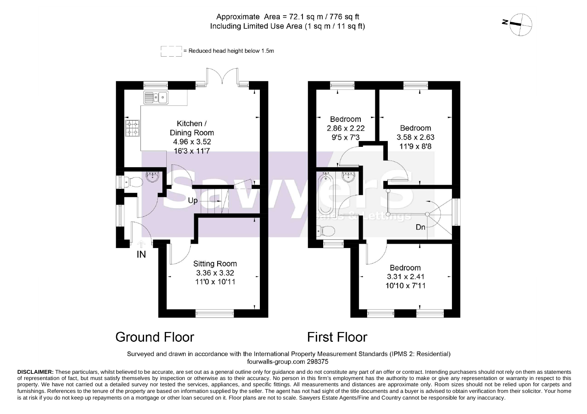# Approximate Area =  $72.1$  sq m / 776 sq ft Including Limited Use Area (1 sq m / 11 sq ft)





Surveyed and drawn in accordance with the International Property Measurement Standards (IPMS 2: Residential) fourwalls-group.com 298375

DISCLAIMER: These particulars, whilst believed to be accurate, are set out as a general outline only for guidance and do not constitute any part of an offer or contract. Intending purchasers should not rely on them as stat of representation of fact, but must satisfy themselves by inspection or otherwise as to their accuracy. No person in this firm's employment has the authority to make or give any representation or warranty in respect to this property. We have not carried out a detailed survey nor tested the services, appliances, and specific fittings. All measurements and distances are approximate only. Room sizes should not be relied upon for carpets and furnishings. References to the tenure of the property are based on information supplied by the seller. The agent has not had sight of the title documents and a buyer is advised to obtain verification from their solicitor. is at risk if you do not keep up repayments on a mortgage or other loan secured on it. Floor plans are not to scale. Sawyers Estate Agents/Fine and Country cannot be responsible for any inaccuracy.